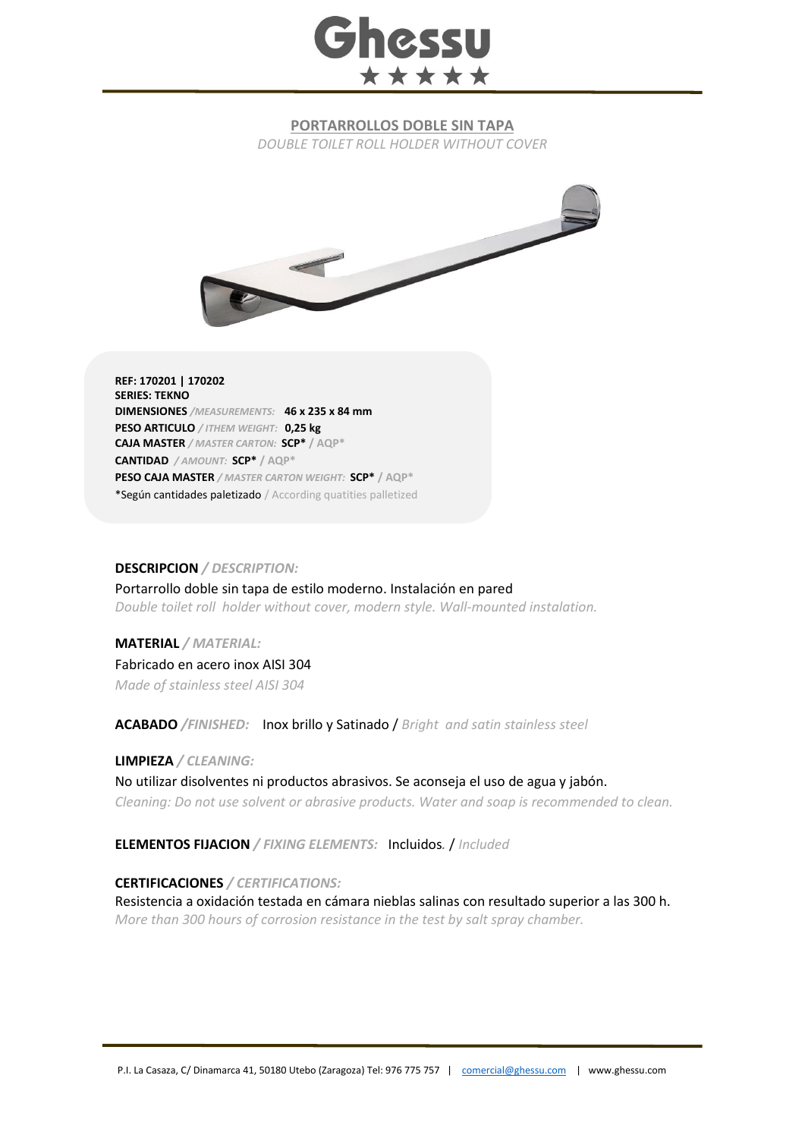## Ghessu \*\*\*\*\*

## **PORTARROLLOS DOBLE SIN TAPA**

*DOUBLE TOILET ROLL HOLDER WITHOUT COVER*



**REF: 170201 | 170202 SERIES: TEKNO DIMENSIONES** */MEASUREMENTS:* **46 x 235 x 84 mm PESO ARTICULO** */ ITHEM WEIGHT:* **0,25 kg CAJA MASTER** */ MASTER CARTON:* **SCP\* / AQP\* CANTIDAD** */ AMOUNT:* **SCP\* / AQP\* PESO CAJA MASTER** */ MASTER CARTON WEIGHT:* **SCP\* / AQP\*** \*Según cantidades paletizado / According quatities palletized

## **DESCRIPCION** */ DESCRIPTION:*

Portarrollo doble sin tapa de estilo moderno. Instalación en pared *Double toilet roll holder without cover, modern style. Wall-mounted instalation.*

**MATERIAL** */ MATERIAL:* Fabricado en acero inox AISI 304 *Made of stainless steel AISI 304*

**ACABADO** */FINISHED:*Inox brillo y Satinado / *Bright and satin stainless steel*

**LIMPIEZA** */ CLEANING:* 

No utilizar disolventes ni productos abrasivos. Se aconseja el uso de agua y jabón. *Cleaning: Do not use solvent or abrasive products. Water and soap is recommended to clean.*

**ELEMENTOS FIJACION** */ FIXING ELEMENTS:* Incluidos*.* / *Included*

**CERTIFICACIONES** */ CERTIFICATIONS:*

Resistencia a oxidación testada en cámara nieblas salinas con resultado superior a las 300 h. *More than 300 hours of corrosion resistance in the test by salt spray chamber.*